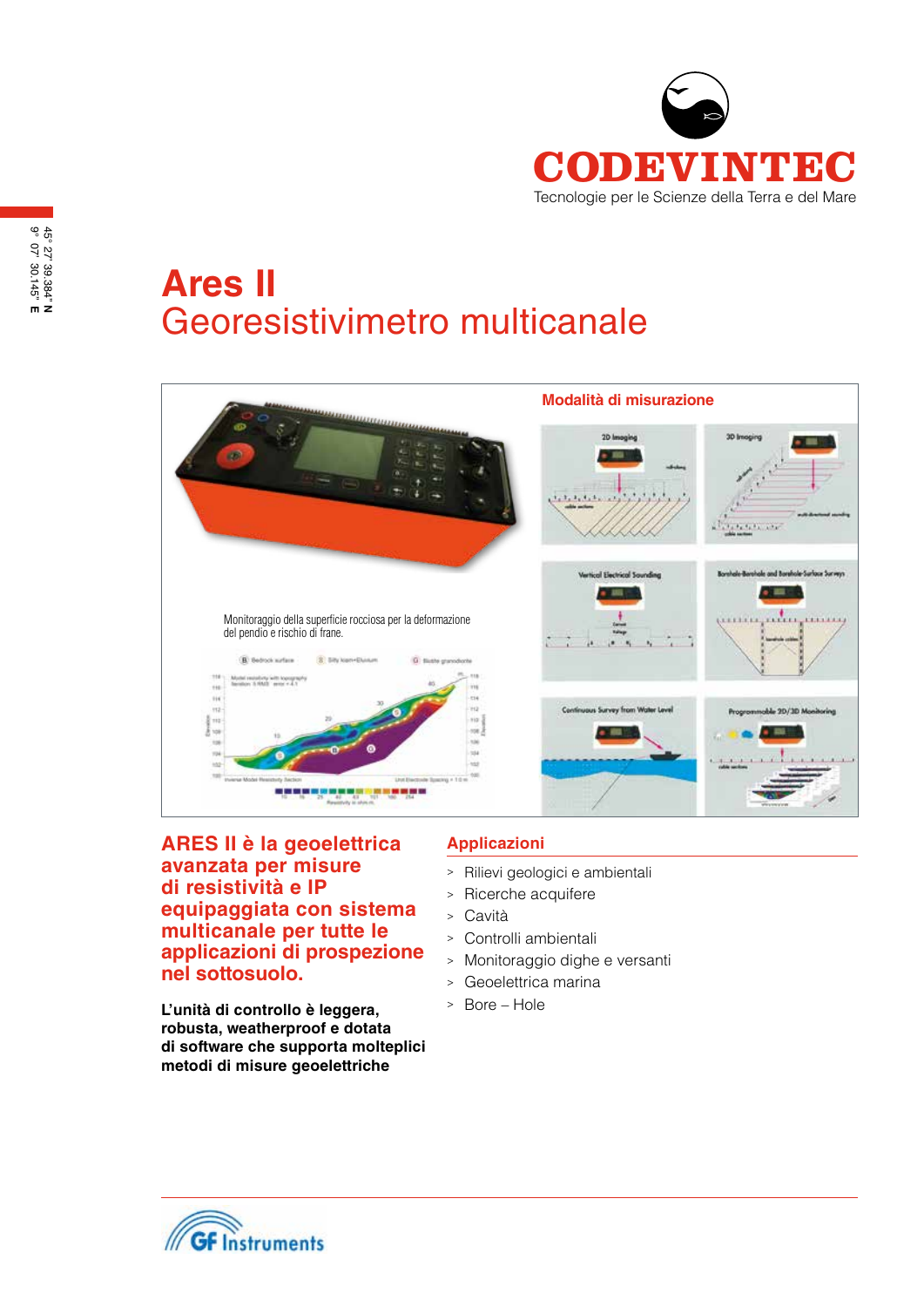

# **Ares II**  Georesistivimetro multicanale



**ARES II è la geoelettrica avanzata per misure di resistività e IP equipaggiata con sistema multicanale per tutte le applicazioni di prospezione nel sottosuolo.** 

**L'unità di controllo è leggera, robusta, weatherproof e dotata di software che supporta molteplici metodi di misure geoelettriche**

# **Applicazioni**

- > Rilievi geologici e ambientali
- <sup>&</sup>gt; Ricerche acquifere
- <sup>&</sup>gt; Cavità
- <sup>&</sup>gt; Controlli ambientali
- <sup>&</sup>gt; Monitoraggio dighe e versanti
- <sup>&</sup>gt; Geoelettrica marina
- <sup>&</sup>gt; Bore Hole